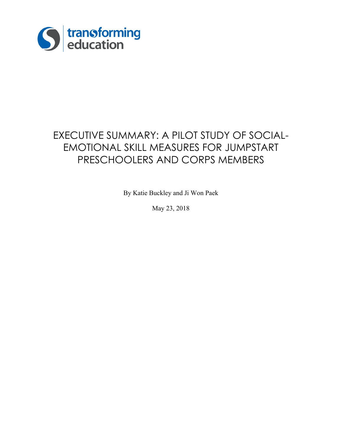

# EXECUTIVE SUMMARY: A PILOT STUDY OF SOCIAL-EMOTIONAL SKILL MEASURES FOR JUMPSTART PRESCHOOLERS AND CORPS MEMBERS

By Katie Buckley and Ji Won Paek

May 23, 2018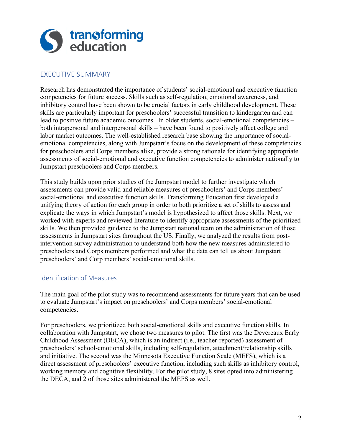

## EXECUTIVE SUMMARY

Research has demonstrated the importance of students' social-emotional and executive function competencies for future success. Skills such as self-regulation, emotional awareness, and inhibitory control have been shown to be crucial factors in early childhood development. These skills are particularly important for preschoolers' successful transition to kindergarten and can lead to positive future academic outcomes. In older students, social-emotional competencies – both intrapersonal and interpersonal skills – have been found to positively affect college and labor market outcomes. The well-established research base showing the importance of socialemotional competencies, along with Jumpstart's focus on the development of these competencies for preschoolers and Corps members alike, provide a strong rationale for identifying appropriate assessments of social-emotional and executive function competencies to administer nationally to Jumpstart preschoolers and Corps members.

This study builds upon prior studies of the Jumpstart model to further investigate which assessments can provide valid and reliable measures of preschoolers' and Corps members' social-emotional and executive function skills. Transforming Education first developed a unifying theory of action for each group in order to both prioritize a set of skills to assess and explicate the ways in which Jumpstart's model is hypothesized to affect those skills. Next, we worked with experts and reviewed literature to identify appropriate assessments of the prioritized skills. We then provided guidance to the Jumpstart national team on the administration of those assessments in Jumpstart sites throughout the US. Finally, we analyzed the results from postintervention survey administration to understand both how the new measures administered to preschoolers and Corps members performed and what the data can tell us about Jumpstart preschoolers' and Corp members' social-emotional skills.

#### Identification of Measures

The main goal of the pilot study was to recommend assessments for future years that can be used to evaluate Jumpstart's impact on preschoolers' and Corps members' social-emotional competencies.

For preschoolers, we prioritized both social-emotional skills and executive function skills. In collaboration with Jumpstart, we chose two measures to pilot. The first was the Devereaux Early Childhood Assessment (DECA), which is an indirect (i.e., teacher-reported) assessment of preschoolers' school-emotional skills, including self-regulation, attachment/relationship skills and initiative. The second was the Minnesota Executive Function Scale (MEFS), which is a direct assessment of preschoolers' executive function, including such skills as inhibitory control, working memory and cognitive flexibility. For the pilot study, 8 sites opted into administering the DECA, and 2 of those sites administered the MEFS as well.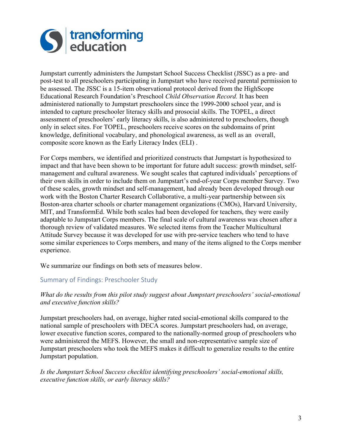

Jumpstart currently administers the Jumpstart School Success Checklist (JSSC) as a pre- and post-test to all preschoolers participating in Jumpstart who have received parental permission to be assessed. The JSSC is a 15-item observational protocol derived from the HighScope Educational Research Foundation's Preschool *Child Observation Record.* It has been administered nationally to Jumpstart preschoolers since the 1999-2000 school year, and is intended to capture preschooler literacy skills and prosocial skills. The TOPEL, a direct assessment of preschoolers' early literacy skills, is also administered to preschoolers, though only in select sites. For TOPEL, preschoolers receive scores on the subdomains of print knowledge, definitional vocabulary, and phonological awareness, as well as an overall, composite score known as the Early Literacy Index (ELI) .

For Corps members, we identified and prioritized constructs that Jumpstart is hypothesized to impact and that have been shown to be important for future adult success: growth mindset, selfmanagement and cultural awareness. We sought scales that captured individuals' perceptions of their own skills in order to include them on Jumpstart's end-of-year Corps member Survey. Two of these scales, growth mindset and self-management, had already been developed through our work with the Boston Charter Research Collaborative, a multi-year partnership between six Boston-area charter schools or charter management organizations (CMOs), Harvard University, MIT, and TransformEd. While both scales had been developed for teachers, they were easily adaptable to Jumpstart Corps members. The final scale of cultural awareness was chosen after a thorough review of validated measures. We selected items from the Teacher Multicultural Attitude Survey because it was developed for use with pre-service teachers who tend to have some similar experiences to Corps members, and many of the items aligned to the Corps member experience.

We summarize our findings on both sets of measures below.

# Summary of Findings: Preschooler Study

#### *What do the results from this pilot study suggest about Jumpstart preschoolers' social-emotional and executive function skills?*

Jumpstart preschoolers had, on average, higher rated social-emotional skills compared to the national sample of preschoolers with DECA scores. Jumpstart preschoolers had, on average, lower executive function scores, compared to the nationally-normed group of preschoolers who were administered the MEFS. However, the small and non-representative sample size of Jumpstart preschoolers who took the MEFS makes it difficult to generalize results to the entire Jumpstart population.

#### *Is the Jumpstart School Success checklist identifying preschoolers' social-emotional skills, executive function skills, or early literacy skills?*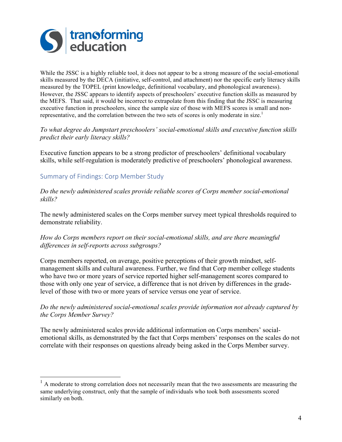

While the JSSC is a highly reliable tool, it does not appear to be a strong measure of the social-emotional skills measured by the DECA (initiative, self-control, and attachment) nor the specific early literacy skills measured by the TOPEL (print knowledge, definitional vocabulary, and phonological awareness). However, the JSSC appears to identify aspects of preschoolers' executive function skills as measured by the MEFS. That said, it would be incorrect to extrapolate from this finding that the JSSC is measuring executive function in preschoolers, since the sample size of those with MEFS scores is small and nonrepresentative, and the correlation between the two sets of scores is only moderate in size.<sup>1</sup>

#### *To what degree do Jumpstart preschoolers' social-emotional skills and executive function skills predict their early literacy skills?*

Executive function appears to be a strong predictor of preschoolers' definitional vocabulary skills, while self-regulation is moderately predictive of preschoolers' phonological awareness.

## Summary of Findings: Corp Member Study

#### *Do the newly administered scales provide reliable scores of Corps member social-emotional skills?*

The newly administered scales on the Corps member survey meet typical thresholds required to demonstrate reliability.

#### *How do Corps members report on their social-emotional skills, and are there meaningful differences in self-reports across subgroups?*

Corps members reported, on average, positive perceptions of their growth mindset, selfmanagement skills and cultural awareness. Further, we find that Corp member college students who have two or more years of service reported higher self-management scores compared to those with only one year of service, a difference that is not driven by differences in the gradelevel of those with two or more years of service versus one year of service.

#### *Do the newly administered social-emotional scales provide information not already captured by the Corps Member Survey?*

The newly administered scales provide additional information on Corps members' socialemotional skills, as demonstrated by the fact that Corps members' responses on the scales do not correlate with their responses on questions already being asked in the Corps Member survey.

 <sup>1</sup> A moderate to strong correlation does not necessarily mean that the two assessments are measuring the same underlying construct, only that the sample of individuals who took both assessments scored similarly on both.